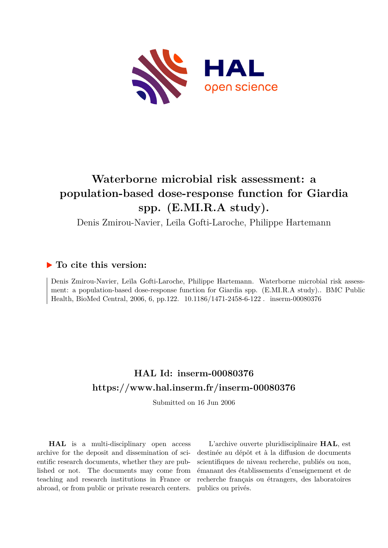

# **Waterborne microbial risk assessment: a population-based dose-response function for Giardia spp. (E.MI.R.A study).**

Denis Zmirou-Navier, Leïla Gofti-Laroche, Philippe Hartemann

# **To cite this version:**

Denis Zmirou-Navier, Leïla Gofti-Laroche, Philippe Hartemann. Waterborne microbial risk assessment: a population-based dose-response function for Giardia spp. (E.MI.R.A study).. BMC Public Health, BioMed Central, 2006, 6, pp.122. 10.1186/1471-2458-6-122. inserm-00080376

# **HAL Id: inserm-00080376 <https://www.hal.inserm.fr/inserm-00080376>**

Submitted on 16 Jun 2006

**HAL** is a multi-disciplinary open access archive for the deposit and dissemination of scientific research documents, whether they are published or not. The documents may come from teaching and research institutions in France or abroad, or from public or private research centers.

L'archive ouverte pluridisciplinaire **HAL**, est destinée au dépôt et à la diffusion de documents scientifiques de niveau recherche, publiés ou non, émanant des établissements d'enseignement et de recherche français ou étrangers, des laboratoires publics ou privés.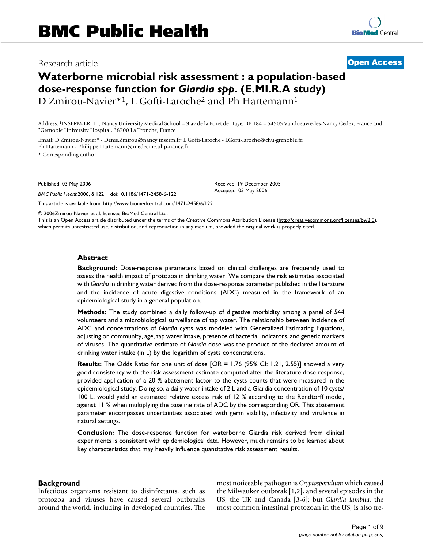# Research article **Contract Contract Contract Contract Contract Contract Contract Contract Contract Contract Contract Contract Contract Contract Contract Contract Contract Contract Contract Contract Contract Contract Contra**

# **Waterborne microbial risk assessment : a population-based dose-response function for** *Giardia spp***. (E.MI.R.A study)** D Zmirou-Navier\*<sup>1</sup>, L Gofti-Laroche<sup>2</sup> and Ph Hartemann<sup>1</sup>

Address: <sup>1</sup>INSERM-ERI 11, Nancy University Medical School – 9 av de la Forêt de Haye, BP 184 – 54505 Vandoeuvre-les-Nancy Cedex, France and <sup>2</sup>Grenoble University Hospital, 38700 La Tronche, France

Email: D Zmirou-Navier\* - Denis.Zmirou@nancy.inserm.fr; L Gofti-Laroche - LGofti-laroche@chu-grenoble.fr; Ph Hartemann - Philippe.Hartemann@medecine.uhp-nancy.fr

\* Corresponding author

Published: 03 May 2006

*BMC Public Health*2006, **6**:122 doi:10.1186/1471-2458-6-122

Received: 19 December 2005 Accepted: 03 May 2006

[This article is available from: http://www.biomedcentral.com/1471-2458/6/122](http://www.biomedcentral.com/1471-2458/6/122)

© 2006Zmirou-Navier et al; licensee BioMed Central Ltd.

This is an Open Access article distributed under the terms of the Creative Commons Attribution License [\(http://creativecommons.org/licenses/by/2.0\)](http://creativecommons.org/licenses/by/2.0), which permits unrestricted use, distribution, and reproduction in any medium, provided the original work is properly cited.

#### **Abstract**

**Background:** Dose-response parameters based on clinical challenges are frequently used to assess the health impact of protozoa in drinking water. We compare the risk estimates associated with *Giardia* in drinking water derived from the dose-response parameter published in the literature and the incidence of acute digestive conditions (ADC) measured in the framework of an epidemiological study in a general population.

**Methods:** The study combined a daily follow-up of digestive morbidity among a panel of 544 volunteers and a microbiological surveillance of tap water. The relationship between incidence of ADC and concentrations of *Giardia* cysts was modeled with Generalized Estimating Equations, adjusting on community, age, tap water intake, presence of bacterial indicators, and genetic markers of viruses. The quantitative estimate of *Giardia* dose was the product of the declared amount of drinking water intake (in L) by the logarithm of cysts concentrations.

**Results:** The Odds Ratio for one unit of dose [OR = 1.76 (95% CI: 1.21, 2.55)] showed a very good consistency with the risk assessment estimate computed after the literature dose-response, provided application of a 20 % abatement factor to the cysts counts that were measured in the epidemiological study. Doing so, a daily water intake of 2 L and a Giardia concentration of 10 cysts/ 100 L, would yield an estimated relative excess risk of 12 % according to the Rendtorff model, against 11 % when multiplying the baseline rate of ADC by the corresponding OR. This abatement parameter encompasses uncertainties associated with germ viability, infectivity and virulence in natural settings.

**Conclusion:** The dose-response function for waterborne Giardia risk derived from clinical experiments is consistent with epidemiological data. However, much remains to be learned about key characteristics that may heavily influence quantitative risk assessment results.

#### **Background**

Infectious organisms resistant to disinfectants, such as protozoa and viruses have caused several outbreaks around the world, including in developed countries. The most noticeable pathogen is *Cryptosporidium* which caused the Milwaukee outbreak [1,2], and several episodes in the US, the UK and Canada [3-6]; but *Giardia lamblia*, the most common intestinal protozoan in the US, is also fre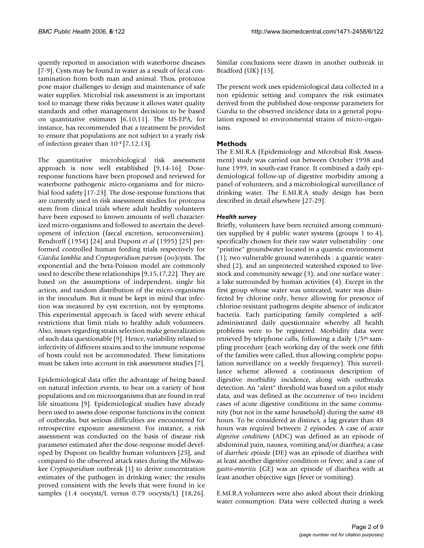quently reported in association with waterborne diseases [7-9]. Cysts may be found in water as a result of fecal contamination from both man and animal. Thus, protozoa pose major challenges to design and maintenance of safe water supplies. Microbial risk assessment is an important tool to manage these risks because it allows water quality standards and other management decisions to be based on quantitative estimates [6,10,11]. The US-EPA, for instance, has recommended that a treatment be provided to ensure that populations are not subject to a yearly risk of infection greater than 10-4 [7,12,13].

The quantitative microbiological risk assessment approach is now well established [9,14-16]. Doseresponse functions have been proposed and reviewed for waterborne pathogenic micro-organisms and for microbial food safety [17-23]. The dose-response functions that are currently used in risk assessment studies for protozoa stem from clinical trials where adult healthy volunteers have been exposed to known amounts of well characterized micro-organisms and followed to ascertain the development of infection (faecal excretion, seroconversion). Rendtorff (1954) [24] and Dupont *et al* (1995) [25] performed controlled human feeding trials respectively for *Giardia lamblia* and *Cryptosporidium parvum* (oo)cysts. The exponential and the beta-Poisson model are commonly used to describe these relationships [9,15,17,22]. They are based on the assumptions of independent, single hit action, and random distribution of the micro-organisms in the inoculum. But it must be kept in mind that infection was measured by cyst excretion, not by symptoms. This experimental approach is faced with severe ethical restrictions that limit trials to healthy adult volunteers. Also, issues regarding strain selection make generalization of such data questionable [9]. Hence, variability related to infectivity of different strains and to the immune response of hosts could not be accommodated. These limitations must be taken into account in risk assessment studies [7].

Epidemiological data offer the advantage of being based on natural infection events, to bear on a variety of host populations and on microorganisms that are found in real life situations [9]. Epidemiological studies have already been used to assess dose-response functions in the context of outbreaks, but serious difficulties are encountered for retrospective exposure assessment. For instance, a risk assessment was conducted on the basis of disease risk parameter estimated after the dose-response model developed by Dupont on healthy human volunteers [25], and compared to the observed attack rates during the Milwaukee *Cryptosporidium* outbreak [1] to derive concentration estimates of the pathogen in drinking water; the results proved consistent with the levels that were found in ice samples (1.4 oocysts/L versus 0.79 oocysts/L) [18,26]. Similar conclusions were drawn in another outbreak in Bradford (UK) [15].

The present work uses epidemiological data collected in a non epidemic setting and compares the risk estimates derived from the published dose-response parameters for *Giardia* to the observed incidence data in a general population exposed to environmental strains of micro-organisms.

# **Methods**

The E.MI.R.A (Epidemiology and MIcrobial Risk Assessment) study was carried out between October 1998 and June 1999, in south-east France. It combined a daily epidemiological follow-up of digestive morbidity among a panel of volunteers, and a microbiological surveillance of drinking water. The E.MI.R.A study design has been described in detail elsewhere [27-29].

# *Health survey*

Briefly, volunteers have been recruited among communities supplied by 4 public water systems (groups 1 to 4), specifically chosen for their raw water vulnerability : one "pristine" groundwater located in a quarstic environment (1); two vulnerable ground watersheds : a quarstic watershed (2), and an unprotected watershed exposed to livestock and community sewage (3); and one surface water : a lake surrounded by human activities (4). Except in the first group whose water was untreated, water was disinfected by chlorine only, hence allowing for presence of chlorine-resistant pathogens despite absence of indicator bacteria. Each participating family completed a selfadministrated daily questionnaire whereby all health problems were to be registered. Morbidity data were retrieved by telephone calls, following a daily  $1/5<sup>th</sup>$  sampling procedure (each working day of the week one fifth of the families were called, thus allowing complete population surveillance on a weekly frequency). This surveillance scheme allowed a continuous description of digestive morbidity incidence, along with outbreaks detection. An "alert" threshold was based on a pilot study data, and was defined as the occurrence of two incident cases of acute digestive conditions in the same community (but not in the same household) during the same 48 hours. To be considered as distinct, a lag greater than 48 hours was required between 2 episodes. A case of *acute digestive conditions* (ADC) was defined as an episode of abdominal pain, nausea, vomiting and/or diarrhea; a case of *diarrheic episode* (DE) was an episode of diarrhea with at least another digestive condition or fever; and a case of *gastro-enteritis* (GE) was an episode of diarrhea with at least another objective sign (fever or vomiting).

E.MI.R.A volunteers were also asked about their drinking water consumption. Data were collected during a week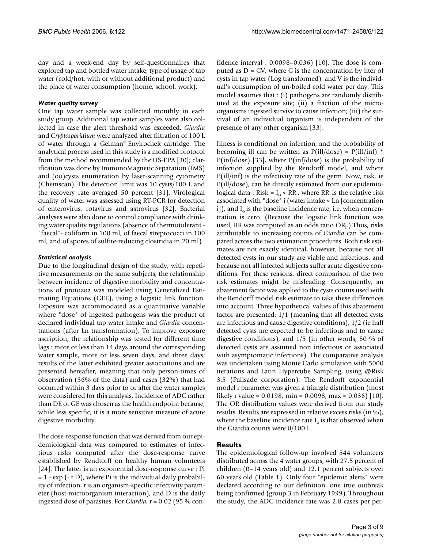day and a week-end day by self-questionnaires that explored tap and bottled water intake, type of usage of tap water (cold/hot, with or without additional product) and the place of water consumption (home, school, work).

### *Water quality survey*

One tap water sample was collected monthly in each study group. Additional tap water samples were also collected in case the alert threshold was exceeded. *Giardia* and *Cryptosporidium* were analyzed after filtration of 100 L of water through a Gelman® Envirochek cartridge. The analytical process used in this study is a modified protocol from the method recommended by the US-EPA [30]; clarification was done by ImmunoMagnetic Separation (IMS) and (oo)cysts enumeration by laser-scanning cytometry (Chemscan). The detection limit was 10 cysts/100 L and the recovery rate averaged 50 percent [31]. Virological quality of water was assessed using RT-PCR for detection of enterovirus, rotavirus and astrovirus [32]. Bacterial analyses were also done to control compliance with drinking water quality regulations (absence of thermotolerant - "faecal"- coliform in 100 ml, of faecal streptococci in 100 ml, and of spores of sulfite-reducing clostridia in 20 ml).

### *Statistical analysis*

Due to the longitudinal design of the study, with repetitive measurements on the same subjects, the relationship between incidence of digestive morbidity and concentrations of protozoa was modeled using Generalized Estimating Equations (GEE), using a logistic link function. Exposure was accommodated as a quantitative variable where "dose" of ingested pathogens was the product of declared individual tap water intake and *Giardia* concentrations (after Ln transformation). To improve exposure ascription, the relationship was tested for different time lags : more or less than 14 days around the corresponding water sample, more or less seven days, and three days; results of the latter exhibited greater associations and are presented hereafter, meaning that only person-times of observation (36% of the data) and cases (32%) that had occurred within 3 days prior to or after the water samples were considered for this analysis. Incidence of ADC rather than DE or GE was chosen as the health endpoint because, while less specific, it is a more sensitive measure of acute digestive morbidity.

The dose-response function that was derived from our epidemiological data was compared to estimates of infectious risks computed after the dose-response curve established by Rendtorff on healthy human volunteers [24]. The latter is an exponential dose-response curve : Pi  $= 1 - exp(-r D)$ , where Pi is the individual daily probability of infection, r is an organism-specific infectivity parameter (host-microorganism interaction), and D is the daily ingested dose of parasites. For *Giardia*, r = 0.02 (95 % confidence interval : 0.0098–0.036) [10]. The dose is computed as  $D = CV$ , where C is the concentration by liter of cysts in tap water (Log transformed), and V is the individual's consumption of un-boiled cold water per day. This model assumes that : (i) pathogens are randomly distributed at the exposure site; (ii) a fraction of the microorganisms ingested survive to cause infection; (iii) the survival of an individual organism is independent of the presence of any other organism [33].

Illness is conditional on infection, and the probability of becoming ill can be written as  $P(ill/dose) = P(ill/inf)$  \* P(inf/dose) [33], where P(inf/dose) is the probability of infection supplied by the Rendorff model, and where P(ill/inf) is the infectivity rate of the germ. Now, risk, ie P(ill/dose), can be directly estimated from our epidemiological data : Risk =  $I_0 \times RR_i$ , where RR<sub>i</sub> is the relative risk associated with "dose" i (water intake × Ln [concentration i]), and  $I_0$  is the baseline incidence rate, i.e. when concentration is zero. (Because the logistic link function was used, RR was computed as an odds ratio OR<sub>i</sub>.) Thus, risks attributable to increasing counts of *Giardia* can be compared across the two estimation procedures. Both risk estimates are not exactly identical, however, because not all detected cysts in our study are viable and infectious, and because not all infected subjects suffer acute digestive conditions. For these reasons, direct comparison of the two risk estimates might be misleading. Consequently, an abatement factor was applied to the cysts counts used with the Rendorff model risk estimate to take these differences into account. Three hypothetical values of this abatement factor are presented: 1/1 (meaning that all detected cysts are infectious and cause digestive conditions), 1/2 (ie half detected cysts are expected to be infectious and to cause digestive conditions), and 1/5 (in other words, 80 % of detected cysts are assumed non infectious or associated with asymptomatic infections). The comparative analysis was undertaken using Monte Carlo simulation with 5000 iterations and Latin Hypercube Sampling, using @Risk 3.5 (Palisade corporation). The Rendorff exponential model r parameter was given a triangle distribution (most likely r value = 0.0198, min = 0.0098, max = 0.036) [10]. The OR distribution values were derived from our study results. Results are expressed in relative excess risks (in %), where the baseline incidence rate  $I_0$  is that observed when the Giardia counts were 0/100 L.

# **Results**

The epidemiological follow-up involved 544 volunteers distributed across the 4 water groups, with 27.5 percent of children (0–14 years old) and 12.1 percent subjects over 60 years old (Table 1). Only four "epidemic alerts" were declared according to our definition, one true outbreak being confirmed (group 3 in February 1999). Throughout the study, the ADC incidence rate was 2.8 cases per per-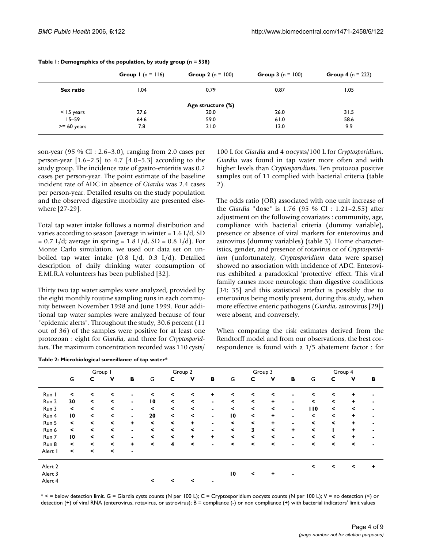|               | Group $I(n = 116)$ | <b>Group 2</b> ( $n = 100$ ) | <b>Group 3</b> ( $n = 100$ ) | <b>Group 4</b> ( $n = 222$ ) |
|---------------|--------------------|------------------------------|------------------------------|------------------------------|
| Sex ratio     | 1.04               | 0.79                         | 0.87                         | l.05                         |
|               |                    | Age structure (%)            |                              |                              |
| $<$ 15 years  | 27.6               | 20.0                         | 26.0                         | 31.5                         |
| $15 - 59$     | 64.6               | 59.0                         | 61.0                         | 58.6                         |
| $>= 60$ years | 7.8                | 21.0                         | 13.0                         | 9.9                          |

**Table 1: Demographics of the population, by study group (n = 538)**

son-year (95 % CI : 2.6–3.0), ranging from 2.0 cases per person-year  $[1.6-2.5]$  to 4.7  $[4.0-5.3]$  according to the study group. The incidence rate of gastro-enteritis was 0.2 cases per person-year. The point estimate of the baseline incident rate of ADC in absence of *Giardia* was 2.4 cases per person-year. Detailed results on the study population and the observed digestive morbidity are presented elsewhere [27-29].

Total tap water intake follows a normal distribution and varies according to season (average in winter = 1.6 L/d, SD  $= 0.7$  L/d; average in spring  $= 1.8$  L/d, SD  $= 0.8$  L/d). For Monte Carlo simulation, we used our data set on unboiled tap water intake (0.8 L/d, 0.3 L/d). Detailed description of daily drinking water consumption of E.MI.R.A volunteers has been published [32].

Thirty two tap water samples were analyzed, provided by the eight monthly routine sampling runs in each community between November 1998 and June 1999. Four additional tap water samples were analyzed because of four "epidemic alerts". Throughout the study, 30.6 percent (11 out of 36) of the samples were positive for at least one protozoan : eight for *Giardia*, and three for *Cryptosporidium*. The maximum concentration recorded was 110 cysts/

**Table 2: Microbiological surveillance of tap water\***

100 L for *Giardia* and 4 oocysts/100 L for *Cryptosporidium*. *Giardia* was found in tap water more often and with higher levels than *Cryptosporidium*. Ten protozoa positive samples out of 11 complied with bacterial criteria (table 2).

The odds ratio (OR) associated with one unit increase of the *Giardia* "dose" is 1.76 (95 % CI : 1.21–2.55) after adjustment on the following covariates : community, age, compliance with bacterial criteria (dummy variable), presence or absence of viral markers for enterovirus and astrovirus (dummy variables) (table 3). Home characteristics, gender, and presence of rotavirus or of *Cryptosporidium* (unfortunately, *Cryptosporidium* data were sparse) showed no association with incidence of ADC. Enterovirus exhibited a paradoxical 'protective' effect. This viral family causes more neurologic than digestive conditions [34; 35] and this statistical artefact is possibly due to enterovirus being mostly present, during this study, when more effective enteric pathogens (*Giardia*, astrovirus [29]) were absent, and conversely.

When comparing the risk estimates derived from the Rendtorff model and from our observations, the best correspondence is found with a 1/5 abatement factor : for

|         | Group I         |         |   |                | Group 2         |          |         | Group 3                  |                 |          | Group 4 |   |             |   |   |           |
|---------|-----------------|---------|---|----------------|-----------------|----------|---------|--------------------------|-----------------|----------|---------|---|-------------|---|---|-----------|
|         | G               | C       | v | В              | G               | c        | v       | В                        | G               | c        | ۷       | В | G           | c | V | в         |
| Run I   | ≺               | <       | < |                | ≺               | ≺        | <       | ٠                        | <               | <        | ≺       |   | ≺           | < | ۰ |           |
| Run 2   | 30              | $\prec$ | ≺ | ۰              | $\overline{10}$ | $\hat{}$ | $\,<$   | ۰                        | ≺               | <        | ٠       |   | ≺           | ≺ | ٠ |           |
| Run 3   | $\hat{}$        | $\prec$ | ≺ | ٠              | $\prec$         | $\hat{}$ | <       | ۰                        | ≺               | $\hat{}$ | ≺       |   | 110         | < | < | ۰         |
| Run 4   | $\overline{10}$ | $\prec$ | ≺ | $\blacksquare$ | 20              | $\prec$  | $\,<$   | ۰                        | 10              | $\hat{}$ | ٠       |   | <           | ≺ | ٠ | ۰         |
| Run 5   | $\prec$         | $\prec$ | ≺ | ٠              | $\prec$         | $\prec$  | ٠       | ۰                        | $\prec$         | ≺        | ٠       |   | ≺           | ≺ | ٠ |           |
| Run 6   | $\prec$         | $\prec$ | ≺ | ٠              | ≺               | $\prec$  | $\prec$ | $\overline{\phantom{a}}$ | <               | 3        | ≺       | ٠ | ≺           |   | ٠ | -         |
| Run 7   | $\overline{10}$ | $\prec$ | ≺ |                | ≺               | ≺        | ٠       | $\ddot{}$                | ≺               | ≺        | ≺       |   | ≺           | ≺ | ٠ | ۰         |
| Run 8   | $\prec$         | $\prec$ | ≺ | ٠              | ≺               | 4        | ≺       | ٠                        | ≺               | ≺        | ≺       | ۰ | $\breve{~}$ | ≺ | ≺ | ٠         |
| Alert I | $\prec$         | ≺       | ≺ | ٠              |                 |          |         |                          |                 |          |         |   |             |   |   |           |
| Alert 2 |                 |         |   |                |                 |          |         |                          |                 |          |         |   | $\breve{~}$ | ≺ | ≺ | $\ddot{}$ |
| Alert 3 |                 |         |   |                |                 |          |         |                          | $\overline{10}$ | <        | ٠       |   |             |   |   |           |
| Alert 4 |                 |         |   |                | $\prec$         | <        | <       | ٠                        |                 |          |         |   |             |   |   |           |

\* < = below detection limit. G = Giardia cysts counts (N per 100 L); C = Cryptosporidium oocysts counts (N per 100 L); V = no detection (<) or detection (+) of viral RNA (enterovirus, rotavirus, or astrovirus); B = compliance (-) or non compliance (+) with bacterial indicators' limit values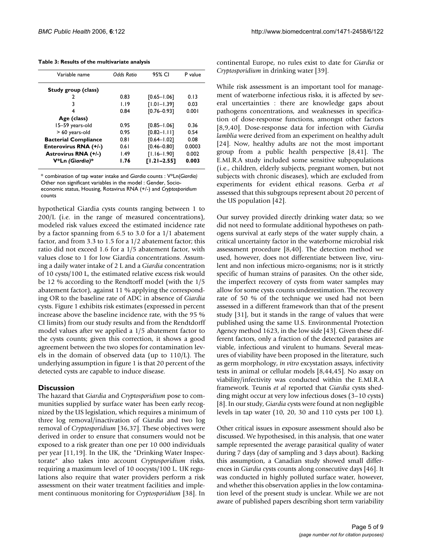| Table 3: Results of the multivariate analysis |  |
|-----------------------------------------------|--|
|-----------------------------------------------|--|

| Variable name               | Odds Ratio<br>95% CI |                 | P value |  |
|-----------------------------|----------------------|-----------------|---------|--|
| Study group (class)         |                      |                 |         |  |
| 2                           | 0.83                 | $[0.65 - 1.06]$ | 0.13    |  |
| 3                           | 1.19                 | $[1.01 - 1.39]$ | 0.03    |  |
| 4                           | 0.84                 | $[0.76 - 0.93]$ | 0.001   |  |
| Age (class)                 |                      |                 |         |  |
| 15–59 years-old             | 0.95                 | $[0.85 - 1.06]$ | 0.36    |  |
| > 60 years-old              | 0.95                 | $[0.82 - 1.11]$ | 0.54    |  |
| <b>Bacterial Compliance</b> | 0.81                 | $[0.64 - 1.02]$ | 0.08    |  |
| Enterovirus RNA (+/-)       | 0.61                 | $[0.46 - 0.80]$ | 0.0003  |  |
| <b>Astrovirus RNA (+/-)</b> | 1.49                 | $[1.16 - 1.90]$ | 0.002   |  |
| V*Ln (Giardia)*             | I.76                 | $[1.21 - 2.55]$ | 0.003   |  |
|                             |                      |                 |         |  |

\* combination of tap water intake and *Giardia* counts : V\*Ln(*Giardia)*  Other non significant variables in the model : Gender, Socioeconomic status, Housing, Rotavirus RNA (+/-) and *Cryptosporidium*  counts

hypothetical Giardia cysts counts ranging between 1 to 200/L (i.e. in the range of measured concentrations), modeled risk values exceed the estimated incidence rate by a factor spanning from 6.5 to 3.0 for a 1/1 abatement factor, and from 3.3 to 1.5 for a 1/2 abatement factor; this ratio did not exceed 1.6 for a 1/5 abatement factor, with values close to 1 for low Giardia concentrations. Assuming a daily water intake of 2 L and a *Giardia* concentration of 10 cysts/100 L, the estimated relative excess risk would be 12 % according to the Rendtorff model (with the 1/5 abatement factor), against 11 % applying the corresponding OR to the baseline rate of ADC in absence of *Giardia* cysts. Figure 1 exhibits risk estimates (expressed in percent increase above the baseline incidence rate, with the 95 % CI limits) from our study results and from the Rendtdorff model values after we applied a 1/5 abatement factor to the cysts counts; given this correction, it shows a good agreement between the two slopes for contamination levels in the domain of observed data (up to 110/L). The underlying assumption in figure 1 is that 20 percent of the detected cysts are capable to induce disease.

### **Discussion**

The hazard that *Giardia* and *Cryptosporidium* pose to communities supplied by surface water has been early recognized by the US legislation, which requires a minimum of three log removal/inactivation of *Giardia* and two log removal of *Cryptosporidium* [36,37]. These objectives were derived in order to ensure that consumers would not be exposed to a risk greater than one per 10 000 individuals per year [11,19]. In the UK, the "Drinking Water Inspectorate" also takes into account *Cryptosporidium* risks, requiring a maximum level of 10 oocysts/100 L. UK regulations also require that water providers perform a risk assessment on their water treatment facilities and implement continuous monitoring for *Cryptosporidium* [38]. In continental Europe, no rules exist to date for *Giardia* or *Cryptosporidium* in drinking water [39].

While risk assessment is an important tool for management of waterborne infectious risks, it is affected by several uncertainties : there are knowledge gaps about pathogens concentrations, and weaknesses in specification of dose-response functions, amongst other factors [8,9,40]. Dose-response data for infection with *Giardia lamblia* were derived from an experiment on healthy adult [24]. Now, healthy adults are not the most important group from a public health perspective [8,41]. The E.MI.R.A study included some sensitive subpopulations (i.e., children, elderly subjects, pregnant women, but not subjects with chronic diseases), which are excluded from experiments for evident ethical reasons. Gerba *et al* assessed that this subgroups represent about 20 percent of the US population [42].

Our survey provided directly drinking water data; so we did not need to formulate additional hypotheses on pathogens survival at early steps of the water supply chain, a critical uncertainty factor in the waterborne microbial risk assessment procedure [8,40]. The detection method we used, however, does not differentiate between live, virulent and non infectious micro-organisms; nor is it strictly specific of human strains of parasites. On the other side, the imperfect recovery of cysts from water samples may allow for some cysts counts underestimation. The recovery rate of 50 % of the technique we used had not been assessed in a different framework than that of the present study [31], but it stands in the range of values that were published using the same U.S. Environmental Protection Agency method 1623, in the low side [43]. Given these different factors, only a fraction of the detected parasites are viable, infectious and virulent to humans. Several measures of viability have been proposed in the literature, such as germ morphology, *in vitro* excystation assays, infectivity tests in animal or cellular models [8,44,45]. No assay on viability/infectivity was conducted within the E.MI.R.A framework. Teunis *et al* reported that *Giardia* cysts shedding might occur at very low infectious doses (3–10 cysts) [8]. In our study, *Giardia* cysts were found at non negligible levels in tap water (10, 20, 30 and 110 cysts per 100 L).

Other critical issues in exposure assessment should also be discussed. We hypothesised, in this analysis, that one water sample represented the average parasitical quality of water during 7 days (day of sampling and 3 days about). Backing this assumption, a Canadian study showed small differences in *Giardia* cysts counts along consecutive days [[46\]](#page-8-0). It was conducted in highly polluted surface water, however, and whether this observation applies in the low contamination level of the present study is unclear. While we are not aware of published papers describing short term variability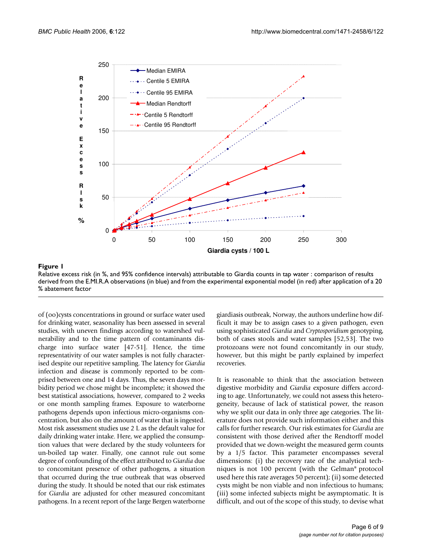

Relative excess risk (in %, and 95% confidence intervals) attributable to Giardia counts in tap water : comparison of results derived from the E.MI.R.A observations (in blue) and from the experimental exponential model (in red) after application of a 20 % abatement factor

of (oo)cysts concentrations in ground or surface water used for drinking water, seasonality has been assessed in several studies, with uneven findings according to watershed vulnerability and to the time pattern of contaminants discharge into surface water [47-51]. Hence, the time representativity of our water samples is not fully characterised despite our repetitive sampling. The latency for *Giardia* infection and disease is commonly reported to be comprised between one and 14 days. Thus, the seven days morbidity period we chose might be incomplete; it showed the best statistical associations, however, compared to 2 weeks or one month sampling frames. Exposure to waterborne pathogens depends upon infectious micro-organisms concentration, but also on the amount of water that is ingested. Most risk assessment studies use 2 L as the default value for daily drinking water intake. Here, we applied the consumption values that were declared by the study volunteers for un-boiled tap water. Finally, one cannot rule out some degree of confounding of the effect attributed to *Giardia* due to concomitant presence of other pathogens, a situation that occurred during the true outbreak that was observed during the study. It should be noted that our risk estimates for *Giardia* are adjusted for other measured concomitant pathogens. In a recent report of the large Bergen waterborne giardiasis outbreak, Norway, the authors underline how difficult it may be to assign cases to a given pathogen, even using sophisticated *Giardia* and *Cryptosporidium* genotyping, both of cases stools and water samples [52,53]. The two protozoans were not found concomitantly in our study, however, but this might be partly explained by imperfect recoveries.

It is reasonable to think that the association between digestive morbidity and *Giardia* exposure differs according to age. Unfortunately, we could not assess this heterogeneity, because of lack of statistical power, the reason why we split our data in only three age categories. The literature does not provide such information either and this calls for further research. Our risk estimates for *Giardia* are consistent with those derived after the Rendtorff model provided that we down-weight the measured germ counts by a 1/5 factor. This parameter encompasses several dimensions: (i) the recovery rate of the analytical techniques is not 100 percent (with the Gelman® protocol used here this rate averages 50 percent); (ii) some detected cysts might be non viable and non infectious to humans; (iii) some infected subjects might be asymptomatic. It is difficult, and out of the scope of this study, to devise what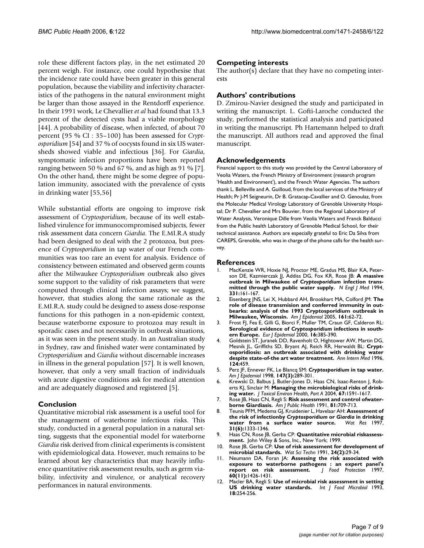role these different factors play, in the net estimated 20 percent weigh. For instance, one could hypothesise that the incidence rate could have been greater in this general population, because the viability and infectivity characteristics of the pathogens in the natural environment might be larger than those assayed in the Rentdorff experience. In their 1991 work, Le Chevallier *et al* had found that 13.3 percent of the detected cysts had a viable morphology [44]. A probability of disease, when infected, of about 70 percent (95 % CI : 35–100) has been assessed for *Cryptosporidium* [\[54](#page-8-1)] and 37 % of oocysts found in six US watersheds showed viable and infectious [36]. For *Giardia*, symptomatic infection proportions have been reported ranging between 50 % and 67 %, and as high as 91 % [7]. On the other hand, there might be some degree of population immunity, associated with the prevalence of cysts in drinking water [55,56]

While substantial efforts are ongoing to improve risk assessment of *Cryptosporidium*, because of its well established virulence for immunocompromised subjects, fewer risk assessment data concern *Giardia*. The E.MI.R.A study had been designed to deal with the 2 protozoa, but presence of *Cryptosporidium* in tap water of our French communities was too rare an event for analysis. Evidence of consistency between estimated and observed germ counts after the Milwaukee *Cryptosporidium* outbreak also gives some support to the validity of risk parameters that were computed through clinical infection assays; we suggest, however, that studies along the same rationale as the E.MI.R.A. study could be designed to assess dose-response functions for this pathogen in a non-epidemic context, because waterborne exposure to protozoa may result in sporadic cases and not necessarily in outbreak situations, as it was seen in the present study. In an Australian study in Sydney, raw and finished water were contaminated by *Cryptosporidium* and *Giardia* without discernable increases in illness in the general population [57]. It is well known, however, that only a very small fraction of individuals with acute digestive conditions ask for medical attention and are adequately diagnosed and registered [[5](#page-7-0)].

#### **Conclusion**

Quantitative microbial risk assessment is a useful tool for the management of waterborne infectious risks. This study, conducted in a general population in a natural setting, suggests that the exponential model for waterborne *Giardia* risk derived from clinical experiments is consistent with epidemiological data. However, much remains to be learned about key characteristics that may heavily influence quantitative risk assessment results, such as germ viability, infectivity and virulence, or analytical recovery performances in natural environments.

#### **Competing interests**

The author(s) declare that they have no competing interests

### **Authors' contributions**

D. Zmirou-Navier designed the study and participated in writing the manuscript. L. Gofti-Laroche conducted the study, performed the statistical analysis and participated in writing the manuscript. Ph Hartemann helped to draft the manuscript. All authors read and approved the final manuscript.

#### **Acknowledgements**

Financial support to this study was provided by the Central Laboratory of Veolia Waters, the French Ministry of Environment (research program 'Health and Environment'), and the French Water Agencies. The authors thank L. Belleville and A. Guilloud, from the local services of the Ministry of Health; Pr J-M Seigneurin, Dr B. Gratacap-Cavallier and O. Genoulaz, from the Molecular Medical Virology Laboratory of Grenoble University Hospital; Dr P. Chevallier and Mrs Bouvier, from the Regional Laboratory of Water Analysis, Veronique Dille from Veolia Waters and Franck Balducci from the Public health Laboratory of Grenoble Medical School, for their technical assistance. Authors are especially grateful to Eric Da Silva from CAREPS, Grenoble, who was in charge of the phone calls for the health survey.

#### **References**

- MacKenzie WR, Hoxie NJ, Proctor ME, Gradus MS, Blair KA, Peterson DE, Kazmierczak JJ, Addiss DG, Fox KR, Rose JB: A massive **outbreak in Milwaukee of** *Cryptosporidium* **[infection trans](http://www.ncbi.nlm.nih.gov/entrez/query.fcgi?cmd=Retrieve&db=PubMed&dopt=Abstract&list_uids=7818640)[mitted through the public water supply.](http://www.ncbi.nlm.nih.gov/entrez/query.fcgi?cmd=Retrieve&db=PubMed&dopt=Abstract&list_uids=7818640)** *N Engl J Med* 1994, **331:**161-167.
- 2. Eisenberg JNS, Lei X, Hubbard AH, Brookhart MA, Colford JM: **[The](http://www.ncbi.nlm.nih.gov/entrez/query.fcgi?cmd=Retrieve&db=PubMed&dopt=Abstract&list_uids=15615916) role of disease transmision and conferred immunity in out[bearks: analysis of the 1993 Cryptosporidium outbreak in](http://www.ncbi.nlm.nih.gov/entrez/query.fcgi?cmd=Retrieve&db=PubMed&dopt=Abstract&list_uids=15615916) [Milwaukee, Wisconsin.](http://www.ncbi.nlm.nih.gov/entrez/query.fcgi?cmd=Retrieve&db=PubMed&dopt=Abstract&list_uids=15615916)** *Am J Epidemiol* 2005, **161:**62-72.
- 3. Frost FJ, Fea E, Gilli G, Biorci F, Muller TM, Craun GF, Calderon RL: **Serological evidence of** *Cryptosporidium* **[infections in south](http://www.ncbi.nlm.nih.gov/entrez/query.fcgi?cmd=Retrieve&db=PubMed&dopt=Abstract&list_uids=10959948)[ern Europe.](http://www.ncbi.nlm.nih.gov/entrez/query.fcgi?cmd=Retrieve&db=PubMed&dopt=Abstract&list_uids=10959948)** *Eur J Epidemiol* 2000, **16:**385-390.
- 4. Goldstein ST, Juranek DD, Ravenholt O, Hightower AW, Martin DG, Mesnik JL, Griffiths SD, Bryant AJ, Reich RR, Herwaldt BL: **[Crypt](http://www.ncbi.nlm.nih.gov/entrez/query.fcgi?cmd=Retrieve&db=PubMed&dopt=Abstract&list_uids=8602703)[osporidiosis: an outbreak associated with drinking water](http://www.ncbi.nlm.nih.gov/entrez/query.fcgi?cmd=Retrieve&db=PubMed&dopt=Abstract&list_uids=8602703) [despite state-of-the art water treatment.](http://www.ncbi.nlm.nih.gov/entrez/query.fcgi?cmd=Retrieve&db=PubMed&dopt=Abstract&list_uids=8602703)** *Ann Intern Med* 1996, **124:**459.
- <span id="page-7-0"></span>5. Perz JF, Ennever FK, Le Blancq SM: *Cryptosporidium* **[in tap water.](http://www.ncbi.nlm.nih.gov/entrez/query.fcgi?cmd=Retrieve&db=PubMed&dopt=Abstract&list_uids=9482504)** *Am J Epidemiol* 1998, **147(3):**289-301.
- Krewski D, Balbus J, Butler-Jones D, Haas CN, Isaac-Renton J, Roberts KJ, Sinclair M: **Managing the microbiological risks of drinking water.** *J Toxicol Environ Health, Part A* 2004, **67:**1591-1617.
- 7. Rose JB, Haas CN, Regli S: **[Risk assessment and control ofwater](http://www.ncbi.nlm.nih.gov/entrez/query.fcgi?cmd=Retrieve&db=PubMed&dopt=Abstract&list_uids=2029038)[borne Giardiasis.](http://www.ncbi.nlm.nih.gov/entrez/query.fcgi?cmd=Retrieve&db=PubMed&dopt=Abstract&list_uids=2029038)** *Am J Public Health* 1991, **81:**709-713.
- 8. Teunis PFM, Medema GJ, Kruidenier L, Havelaar AH: **Assessment of the risk of infectionby** *Cryptosporidium* **or** *Giardia* **in drinking** water from a surface water source. **31(6):**1333-1346.
- 9. Haas CN, Rose JB, Gerba CP: **Quantitative microbial riskassessment.** John Wiley & Sons, Inc., New York; 1999.
- 10. Rose JB, Gerba CP: **Use of risk assessment for development of microbial standards.** *Wat Sci Techn* 1991, **24(2):**29-34.
- 11. Neumann DA, Foran JA: **Assessing the risk associated with** exposure to waterborne pathogens : an expert panel's<br>report on risk assessment. *J Food Protection* 1997, report on risk assessment. **60(11):**1426-1431.
- 12. Macler BA, Regli S: **Use of microbial risk assessment in setting US drinking water standards.** *Int J Food Microbiol* 1993, **18:**254-256.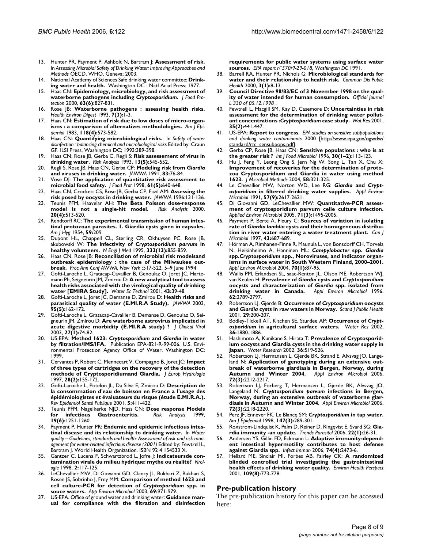- 13. Hunter PR, Payment P, Ashbolt N, Bartram J: **Assessment of risk.** In *Assessing Microbial Safety of Drinking Water: Improving Approaches and Methods* OECD, WHO, Geneva; 2003.
- National Academy of Sciences Safe drinking water committee: Drink**ing water and health.** Washington DC : Natl Acad Press; 1977.
- 15. Haas CN: **Epidemiology, microbiology, and risk assessment of waterborne pathogens including** *Cryptosporidium***.** *J Food Protection* 2000, **63(6):**827-831.
- 16. Rose JB: **Waterborne pathogens : assessing health risks.** *Health Environ Digest* 1993, **7(3):**1-3.
- 17. Haas CN: **[Estimation of risk due to low doses of micro-organ](http://www.ncbi.nlm.nih.gov/entrez/query.fcgi?cmd=Retrieve&db=PubMed&dopt=Abstract&list_uids=6637984)[isms : a comparison of alternatives methodologies.](http://www.ncbi.nlm.nih.gov/entrez/query.fcgi?cmd=Retrieve&db=PubMed&dopt=Abstract&list_uids=6637984)** *Am J Epidemiol* 1983, **118(4):**573-582.
- 18. Haas CN: **Quantifying microbiological risks.** In *Safety of water disinfection : balancing chemical and microbiological risks* Edited by: Craun GF. ILSI Press, Washington DC; 1993:389-398.
- 19. Haas CN, Rose JB, Gerba C, Regli S: **[Risk assessement of virus in](http://www.ncbi.nlm.nih.gov/entrez/query.fcgi?cmd=Retrieve&db=PubMed&dopt=Abstract&list_uids=8259444) [drinking water.](http://www.ncbi.nlm.nih.gov/entrez/query.fcgi?cmd=Retrieve&db=PubMed&dopt=Abstract&list_uids=8259444)** *Risk Analysis* 1993, **13(5):**545-552.
- 20. Regli S, Rose JB, Haas CN, Gerba CP: **Modeling risk from** *Giardia* **and viruses in drinking water.** *JAWWA* 1991, **83:**76-84.
- 21. Vose DJ: **[The application of quantitative risk assessment to](http://www.ncbi.nlm.nih.gov/entrez/query.fcgi?cmd=Retrieve&db=PubMed&dopt=Abstract&list_uids=9709243) [microbial food safety.](http://www.ncbi.nlm.nih.gov/entrez/query.fcgi?cmd=Retrieve&db=PubMed&dopt=Abstract&list_uids=9709243)** *J Food Prot* 1998, **61(5):**640-648.
- 22. Haas CN, Crockett CS, Rose JB, Gerba CP, Fazil AM: **Assessing the risk posed by oocysts in drinking water.** *JAWWA* 1996:131-136.
- 23. Teunis PFM, Haavelar AH: **[The Beta Poisson dose-response](http://www.ncbi.nlm.nih.gov/entrez/query.fcgi?cmd=Retrieve&db=PubMed&dopt=Abstract&list_uids=11051074) [model is not a single-hit model.](http://www.ncbi.nlm.nih.gov/entrez/query.fcgi?cmd=Retrieve&db=PubMed&dopt=Abstract&list_uids=11051074)** *Risk Analysis* 2000, **20(4):**513-520.
- 24. Rendtorff RC: **[The experimental transmission of human intes](http://www.ncbi.nlm.nih.gov/entrez/query.fcgi?cmd=Retrieve&db=PubMed&dopt=Abstract&list_uids=13138586)[tinal protozoan parasites. 1. Giardia cysts given in capsules.](http://www.ncbi.nlm.nih.gov/entrez/query.fcgi?cmd=Retrieve&db=PubMed&dopt=Abstract&list_uids=13138586)** *Am J Hyg* 1954, **59:**209.
- 25. Dupont HL, Chappell CL, Sterling CR, Okhuysen PC, Rose JB, akubowski W: **The infectivity of** *Cryptosporidium parvum* **[in](http://www.ncbi.nlm.nih.gov/entrez/query.fcgi?cmd=Retrieve&db=PubMed&dopt=Abstract&list_uids=7870140) [healthy volunteers.](http://www.ncbi.nlm.nih.gov/entrez/query.fcgi?cmd=Retrieve&db=PubMed&dopt=Abstract&list_uids=7870140)** *N Engl J Med* 1995, **332(13):**855-859.
- 26. Haas CN, Rose JB: **Reconciliation of microbial risk modelsand outbreak epidemiology : the case of the Milwaukee outbreak.** *Proc Ann Conf AWWA. New York* :517-522. 5–9 June 1994
- 27. Gofti-Laroche L, Gratacap-Cavailler B, Genoulaz O, Joret JC, Hartemann Ph, Seigneurin JM, Zmirou D: **A new analytical tool toassess health risks associated with the virological quality of drinking water [EMIRA Study].** *Water Sc Technol* 2001, **43:**39-48.
- 28. Gofti-Laroche L, Joret JC, Demanse D, Zmirou D: **Health risks and parasitical quality of water (E.MI.R.A Study).** *JAWWA* 2003, **95(5):**162-172.
- 29. Gofti-Laroche L, Gratacap-Cavallier B, Demanse D, Genoulaz O, Seigneurin JM, Zmirou D: **Are waterborne astrovirus implicated in acute digestive morbidity (E.MI.R.A study) ?** *J Clinical Virol* 2003, **27(1):**74-82.
- 30. US-EPA: **Method 1623:** *Cryptosporidium* **and** *Giardia* **in water by filtration/IMS/IFA.** Publication EPA-821-R-99-006. U.S. Environmental Protection Agency Office of Water, Washington DC; 1999.
- 31. Cervantes P, Robert C, Mennecart V, Compagno B, Joret JC: **Impact of three types of cartridges on the recovery of the detection methode of Cryptosporidiumand Giardia.** *J Europ Hydrologie* 1997, **28(2):**155-172.
- 32. Gofti-Laroche L, Potelon JL, Da Silva E, Zmirou D: **Description de la consommation d'eau de boisson en France a l'usage des épidémiologistes et évaluateurs du risque (étude E.MI.R.A.).** *Rev Epidemiol Santé Publique* 2001, **5:**411-422.
- 33. Teunis PFM, Nagelkerke NJD, Hass CN: **[Dose response Models](http://www.ncbi.nlm.nih.gov/entrez/query.fcgi?cmd=Retrieve&db=PubMed&dopt=Abstract&list_uids=10765461) Gastroenteritis.** Risk Analysis 1999, **19(6):**1251-1260.
- 34. Payment P, Hunter PR: **Endemic and epidemic infectious intestinal disease and its relationship to drinking water.** In *Water quality – Guidelines, standards and health: Assessment of risk and risk management for water-related infectious disease (2001)* Edited by: Fewtrell L, Bartram J. World Health Organization. ISBN 92 4 154533 X.
- 35. Gantzer C, Lucena F, Schwartzbrod L, Jofre J: **Indicateursde contamination virale du milieu hydrique: mythe ou réalité?** *Virologie* 1998, **2:**117-125.
- 36. LeChevallier MW, Di Giovanni GD, Clancy JL, Bukhari Z, Bukhari S, Rosen JS, Sobrinho J, Frey MM: **Comparison of method 1623 and cell culture-PCR for detection of** *Cryptosporidium* **spp. in souce waters.** *App Environ Microbiol* 2003, **69:**971-979.
- 37. US-EPA. Office of ground water and drinking water: **Guidance manual for compliance with the filtration and disinfection**

**requirements for public water systems using surface water sources.** *EPA report n°570/9-29-018, Washington DC* 1991.

- 38. Barrell RA, Hunter PR, Nichols G: **[Microbiological standards for](http://www.ncbi.nlm.nih.gov/entrez/query.fcgi?cmd=Retrieve&db=PubMed&dopt=Abstract&list_uids=10743312) [water and their relationship to health risk.](http://www.ncbi.nlm.nih.gov/entrez/query.fcgi?cmd=Retrieve&db=PubMed&dopt=Abstract&list_uids=10743312)** *Commun Dis Public Health* 2000, **3(1):**8-13.
- 39. **Council Directive 98/83/EC of 3 November 1998 on the quality of water intended for human consumption.** *Official Journal L 330 of 05.12.1998* .
- 40. Fewtrell L, Macgill SM, Kay D, Casemore D: **Uncertainties in risk assessment for the determination of drinking water pollutant concentrations :***Cryptosporidium* **case study.** *Wat Res* 2001, **35(2):**441-447.
- 41. US-EPA: **Report to congress.** *EPA studies on sensitive subpopulations and drinking water contaminants* 2000 [\[http://www.epa.gov/ogwdw/](http://www.epa.gov/ogwdw/standard/rtc_sensubpops.pdf) [standard/rtc\\_sensubpops.pdf\]](http://www.epa.gov/ogwdw/standard/rtc_sensubpops.pdf).
- 42. Gerba CP, Rose JB, Haas CN: **[Sensitive populations : who is at](http://www.ncbi.nlm.nih.gov/entrez/query.fcgi?cmd=Retrieve&db=PubMed&dopt=Abstract&list_uids=8856378) [the greater risk ?](http://www.ncbi.nlm.nih.gov/entrez/query.fcgi?cmd=Retrieve&db=PubMed&dopt=Abstract&list_uids=8856378)** *Int J Food Microbiol* 1996, **30(1–2):**113-123.
- 43. Hu J, Feng Y, Leong Ong S, Jern Ng W, Song L, Tan X, Chu X: **Improvement of recoveries for the determination of proto[zoa Cryptosporidium and Giardia in water using method](http://www.ncbi.nlm.nih.gov/entrez/query.fcgi?cmd=Retrieve&db=PubMed&dopt=Abstract&list_uids=15279936) [1623.](http://www.ncbi.nlm.nih.gov/entrez/query.fcgi?cmd=Retrieve&db=PubMed&dopt=Abstract&list_uids=15279936)** *J Microbiol Methods* 2004, **58:**321-325.
- 44. Le Chevallier MW, Norton WD, Lee RG: *Giardia* **and** *Cryptosporidium* **[in filtered drinking water supplies.](http://www.ncbi.nlm.nih.gov/entrez/query.fcgi?cmd=Retrieve&db=PubMed&dopt=Abstract&list_uids=1768135)** *Appl Environ Microbiol* 1991, **57(9):**2617-2621.
- 45. Di Giovanni GD, LeChevallier MW: **Quantitative-PCR assessment of cryptosporidium parvum celle culture infection.** *Applied Environ Microbiol* 2005, **71(3):**1495-2005.
- <span id="page-8-0"></span>46. Payment P, Berte A, Fleury C: **Sources of variation in isolating rate of** *Giardia lamblia* **[cysts and their homogeneous distribu](http://www.ncbi.nlm.nih.gov/entrez/query.fcgi?cmd=Retrieve&db=PubMed&dopt=Abstract&list_uids=9246746)[tion in river water entering a water treatment plant.](http://www.ncbi.nlm.nih.gov/entrez/query.fcgi?cmd=Retrieve&db=PubMed&dopt=Abstract&list_uids=9246746)** *Can J Microbiol* 1997, **43:**687-689.
- 47. Hörman A, Rimhanen-Finne R, Maunula L, von Bonsdorff CH, Torvela N, Heikinheimo A, Hanninen ML: *Campylobacter* **spp.** *Giardia* **spp.***Cryptosporidium* **[spp., Noroviruses, and indicator organ](http://www.ncbi.nlm.nih.gov/entrez/query.fcgi?cmd=Retrieve&db=PubMed&dopt=Abstract&list_uids=14711629)[isms in surface water in South Western Finland, 2000–2001.](http://www.ncbi.nlm.nih.gov/entrez/query.fcgi?cmd=Retrieve&db=PubMed&dopt=Abstract&list_uids=14711629)** *Appl Environ Microbiol* 2004, **70(1):**87-95.
- Wallis PM, Erlandsen SL, saac-Renton JL, Olson ME, Robertson WJ, van Keulen H: **Prevalence of** *Giardia* **cysts and** *Cryptosporidium* **oocysts and characterization of** *Giardia* **[spp. isolated from](http://www.ncbi.nlm.nih.gov/entrez/query.fcgi?cmd=Retrieve&db=PubMed&dopt=Abstract&list_uids=8702271)** [drinking water in Canada.](http://www.ncbi.nlm.nih.gov/entrez/query.fcgi?cmd=Retrieve&db=PubMed&dopt=Abstract&list_uids=8702271) **62:**2789-2797.
- 49. Robertson LJ, Gjerde B: **Occurrence of** *Cryptosporidium* **oocysts and** *Giardia* **[cysts in raw waters in Norway.](http://www.ncbi.nlm.nih.gov/entrez/query.fcgi?cmd=Retrieve&db=PubMed&dopt=Abstract&list_uids=11680772)** *Scand J Public Health* 2001, **29:**200-207.
- 50. Bodley-Tickell AT, Kitchen SE, Sturdee AP: **Occurrence of** *Cryptosporidium* **[in agricultural surface waters.](http://www.ncbi.nlm.nih.gov/entrez/query.fcgi?cmd=Retrieve&db=PubMed&dopt=Abstract&list_uids=12044087)** *Water Res* 2002, **36:**1880-1886.
- 51. Hashimoto A, Kunikane S, Hirata T: **[Prevalence of Cryptosporid](http://www.ncbi.nlm.nih.gov/entrez/query.fcgi?cmd=Retrieve&db=PubMed&dopt=Abstract&list_uids=11827314)[ium oocysts and Giardia cysts in the drinking water supply in](http://www.ncbi.nlm.nih.gov/entrez/query.fcgi?cmd=Retrieve&db=PubMed&dopt=Abstract&list_uids=11827314) [Japan.](http://www.ncbi.nlm.nih.gov/entrez/query.fcgi?cmd=Retrieve&db=PubMed&dopt=Abstract&list_uids=11827314)** *Water Research* 2002, **36:**519-526.
- Robertson LJ, Hermansen L, Gjerde BK, Strand E, Alvsvag JO, Langeland N: **[Application of genotyping during an extensive out](http://www.ncbi.nlm.nih.gov/entrez/query.fcgi?cmd=Retrieve&db=PubMed&dopt=Abstract&list_uids=16517674)[break of waterborne giardiasis in Bergen, Norway, during](http://www.ncbi.nlm.nih.gov/entrez/query.fcgi?cmd=Retrieve&db=PubMed&dopt=Abstract&list_uids=16517674) [Autumn and Winter 2004.](http://www.ncbi.nlm.nih.gov/entrez/query.fcgi?cmd=Retrieve&db=PubMed&dopt=Abstract&list_uids=16517674)** *Appl Environ Microbiol* 2006, **72(3):**2212-2217.
- Robertson LJ, Forberg T, Hermansen L, Gjerde BK, Alvsvag JO, Langeland N: *Cryptosporidium parvum* **[infections in Bergen,](http://www.ncbi.nlm.nih.gov/entrez/query.fcgi?cmd=Retrieve&db=PubMed&dopt=Abstract&list_uids=16517675) [Norway, during an extensive outbreak of waterborne giar](http://www.ncbi.nlm.nih.gov/entrez/query.fcgi?cmd=Retrieve&db=PubMed&dopt=Abstract&list_uids=16517675)[diasis in Autumn and Winter 2004.](http://www.ncbi.nlm.nih.gov/entrez/query.fcgi?cmd=Retrieve&db=PubMed&dopt=Abstract&list_uids=16517675)** *Appl Environ Microbiol* 2006, **72(3):**2218-2220.
- <span id="page-8-1"></span>54. Perz JF, Ennever FK, Le Blancq SM: *Cryptosporidium* **[in tap water.](http://www.ncbi.nlm.nih.gov/entrez/query.fcgi?cmd=Retrieve&db=PubMed&dopt=Abstract&list_uids=9482504)** *Am J Epidemiol* 1998, **147(3):**289-301.
- 55. Roxstrom-Lindquist K, Palm D, Reiner D, Ringqvist E, Svard SG: **[Gia](http://www.ncbi.nlm.nih.gov/entrez/query.fcgi?cmd=Retrieve&db=PubMed&dopt=Abstract&list_uids=16303332)[rdia immunity -an update.](http://www.ncbi.nlm.nih.gov/entrez/query.fcgi?cmd=Retrieve&db=PubMed&dopt=Abstract&list_uids=16303332)** *Trends Parasitol* 2006, **22(1):**26-31.
- 56. Andersen YS, Gillin FD, Eckmann L: **[Adaptive immunity-depend](http://www.ncbi.nlm.nih.gov/entrez/query.fcgi?cmd=Retrieve&db=PubMed&dopt=Abstract&list_uids=16552082)[ent intestinal hypermotility contributes to host defense](http://www.ncbi.nlm.nih.gov/entrez/query.fcgi?cmd=Retrieve&db=PubMed&dopt=Abstract&list_uids=16552082) [against Giardia spp.](http://www.ncbi.nlm.nih.gov/entrez/query.fcgi?cmd=Retrieve&db=PubMed&dopt=Abstract&list_uids=16552082)** *Infect Immun* 2006, **74(4):**2473-6.
- 57. Hellard ME, Sinclair MI, Forbes AB, Fairley CK: **[A randomized](http://www.ncbi.nlm.nih.gov/entrez/query.fcgi?cmd=Retrieve&db=PubMed&dopt=Abstract&list_uids=11564611) [blinded controlled trial investigating the gastrointestinal](http://www.ncbi.nlm.nih.gov/entrez/query.fcgi?cmd=Retrieve&db=PubMed&dopt=Abstract&list_uids=11564611) [health effects of drinking water quality.](http://www.ncbi.nlm.nih.gov/entrez/query.fcgi?cmd=Retrieve&db=PubMed&dopt=Abstract&list_uids=11564611)** *Environ Health Perspect* 2001, **109(8):**773-778.

#### **Pre-publication history**

The pre-publication history for this paper can be accessed here: